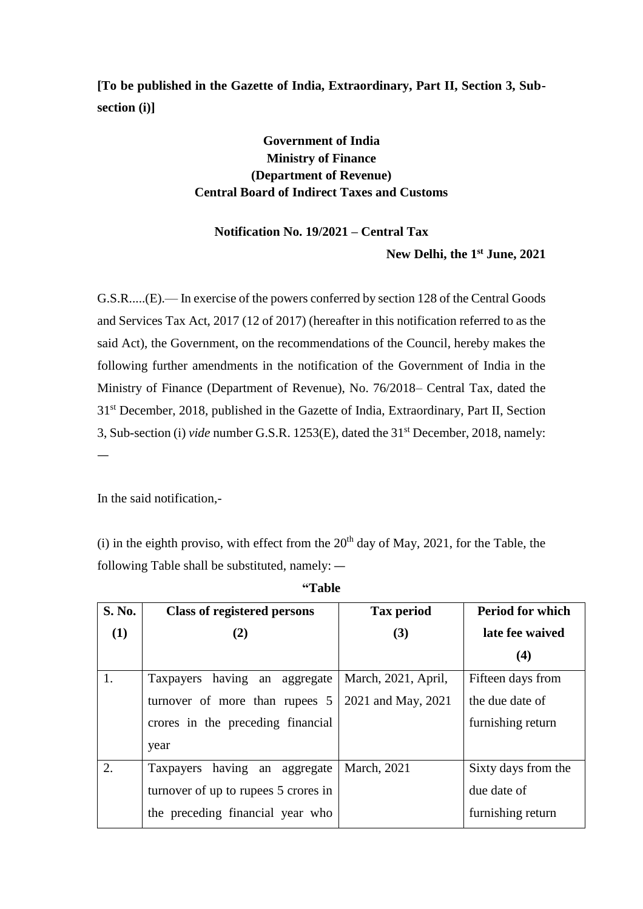**[To be published in the Gazette of India, Extraordinary, Part II, Section 3, Subsection (i)]**

## **Government of India Ministry of Finance (Department of Revenue) Central Board of Indirect Taxes and Customs**

## **Notification No. 19/2021 – Central Tax New Delhi, the 1 st June, 2021**

G.S.R.....(E).— In exercise of the powers conferred by section 128 of the Central Goods and Services Tax Act, 2017 (12 of 2017) (hereafter in this notification referred to as the said Act), the Government, on the recommendations of the Council, hereby makes the following further amendments in the notification of the Government of India in the Ministry of Finance (Department of Revenue), No. 76/2018– Central Tax, dated the 31<sup>st</sup> December, 2018, published in the Gazette of India, Extraordinary, Part II, Section 3, Sub-section (i) *vide* number G.S.R. 1253(E), dated the 31st December, 2018, namely:

In the said notification,-

—

(i) in the eighth proviso, with effect from the  $20<sup>th</sup>$  day of May, 2021, for the Table, the following Table shall be substituted, namely: —

| <b>S. No.</b> | <b>Class of registered persons</b>      | <b>Tax period</b>   | <b>Period for which</b> |
|---------------|-----------------------------------------|---------------------|-------------------------|
| (1)           | (2)                                     | (3)                 | late fee waived         |
|               |                                         |                     | (4)                     |
| 1.            | having an aggregate<br>Taxpayers        | March, 2021, April, | Fifteen days from       |
|               | turnover of more than rupees 5          | 2021 and May, 2021  | the due date of         |
|               | crores in the preceding financial       |                     | furnishing return       |
|               | year                                    |                     |                         |
| 2.            | having an aggregate<br><b>Taxpayers</b> | March, 2021         | Sixty days from the     |
|               | turnover of up to rupees 5 crores in    |                     | due date of             |
|               | the preceding financial year who        |                     | furnishing return       |

**"Table**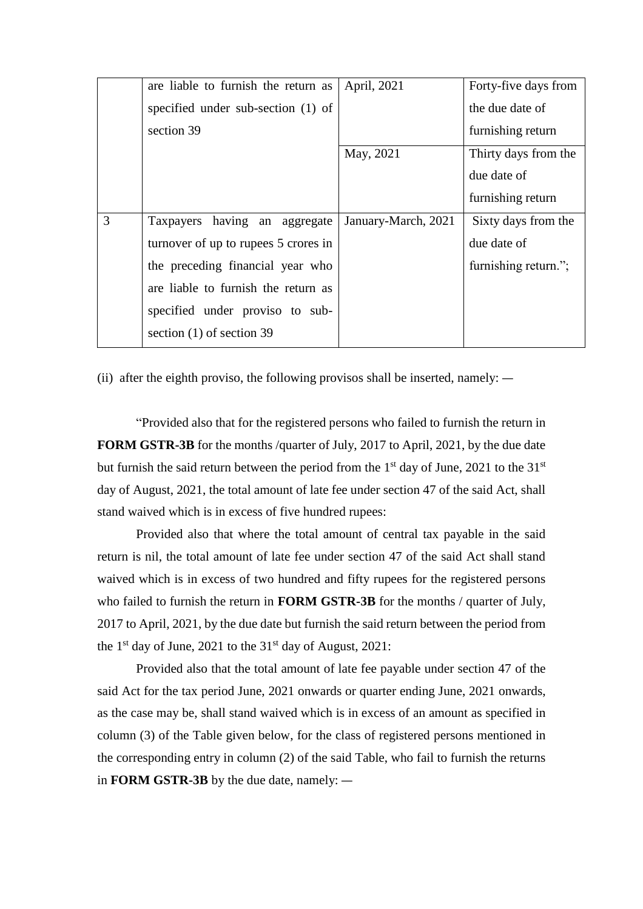|   | are liable to furnish the return as  | April, 2021         | Forty-five days from |
|---|--------------------------------------|---------------------|----------------------|
|   | specified under sub-section (1) of   |                     | the due date of      |
|   | section 39                           |                     | furnishing return    |
|   |                                      | May, 2021           | Thirty days from the |
|   |                                      |                     | due date of          |
|   |                                      |                     | furnishing return    |
|   |                                      |                     |                      |
| 3 | having an aggregate<br>Taxpayers     | January-March, 2021 | Sixty days from the  |
|   | turnover of up to rupees 5 crores in |                     | due date of          |
|   | the preceding financial year who     |                     | furnishing return."; |
|   | are liable to furnish the return as  |                     |                      |
|   | specified under proviso to sub-      |                     |                      |
|   | section $(1)$ of section 39          |                     |                      |

(ii) after the eighth proviso, the following provisos shall be inserted, namely: —

"Provided also that for the registered persons who failed to furnish the return in **FORM GSTR-3B** for the months /quarter of July, 2017 to April, 2021, by the due date but furnish the said return between the period from the  $1<sup>st</sup>$  day of June, 2021 to the  $31<sup>st</sup>$ day of August, 2021, the total amount of late fee under section 47 of the said Act, shall stand waived which is in excess of five hundred rupees:

Provided also that where the total amount of central tax payable in the said return is nil, the total amount of late fee under section 47 of the said Act shall stand waived which is in excess of two hundred and fifty rupees for the registered persons who failed to furnish the return in **FORM GSTR-3B** for the months / quarter of July, 2017 to April, 2021, by the due date but furnish the said return between the period from the  $1<sup>st</sup>$  day of June, 2021 to the  $31<sup>st</sup>$  day of August, 2021:

Provided also that the total amount of late fee payable under section 47 of the said Act for the tax period June, 2021 onwards or quarter ending June, 2021 onwards, as the case may be, shall stand waived which is in excess of an amount as specified in column (3) of the Table given below, for the class of registered persons mentioned in the corresponding entry in column (2) of the said Table, who fail to furnish the returns in **FORM GSTR-3B** by the due date, namely: —